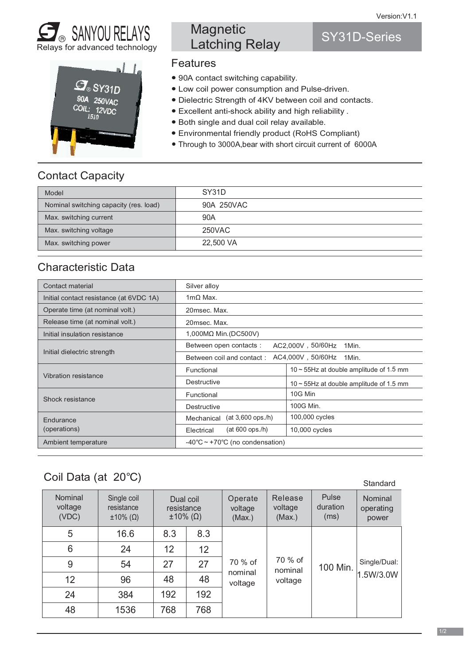SY31D-Series





# **Magnetic** Latching Relay

### Features

- 90A contact switching capability.
- Low coil power consumption and Pulse-driven.
- Dielectric Strength of 4KV between coil and contacts.
- Excellent anti-shock ability and high reliability.
- Both single and dual coil relay available.
- Environmental friendly product (RoHS Compliant)
- Through to 3000A, bear with short circuit current of 6000A

## Contact Capacity

| Model                                  | SY31D      |
|----------------------------------------|------------|
| Nominal switching capacity (res. load) | 90A 250VAC |
| Max. switching current                 | 90A        |
| Max. switching voltage                 | 250VAC     |
| Max. switching power                   | 22,500 VA  |

## Characteristic Data

| Contact material                        | Silver alloy                                            |                                               |  |  |  |  |
|-----------------------------------------|---------------------------------------------------------|-----------------------------------------------|--|--|--|--|
| Initial contact resistance (at 6VDC 1A) | $1m\Omega$ Max.                                         |                                               |  |  |  |  |
| Operate time (at nominal volt.)         | 20msec. Max.                                            |                                               |  |  |  |  |
| Release time (at nominal volt.)         | 20msec. Max.                                            |                                               |  |  |  |  |
| Initial insulation resistance           | 1,000MΩ Min. (DC500V)                                   |                                               |  |  |  |  |
| Initial dielectric strength             | Between open contacts:<br>AC2,000V, 50/60Hz<br>1Min.    |                                               |  |  |  |  |
|                                         | AC4,000V, 50/60Hz<br>Between coil and contact:<br>1Min. |                                               |  |  |  |  |
| Vibration resistance                    | Functional                                              | $10 \sim 55$ Hz at double amplitude of 1.5 mm |  |  |  |  |
|                                         | Destructive                                             | 10 $\sim$ 55Hz at double amplitude of 1.5 mm  |  |  |  |  |
| Shock resistance                        | Functional                                              | 10G Min                                       |  |  |  |  |
|                                         | Destructive                                             | 100G Min.                                     |  |  |  |  |
| Endurance<br>(operations)               | $(at 3,600$ ops./h)<br>Mechanical                       | 100,000 cycles                                |  |  |  |  |
|                                         | $(at 600$ ops./h)<br>Electrical                         | 10,000 cycles                                 |  |  |  |  |
| Ambient temperature                     | -40 $\degree$ C ~ +70 $\degree$ C (no condensation)     |                                               |  |  |  |  |

## Coil Data (at 20°C)

| Standard                           |                                                      |                                                    |     |                               |                              |                           |                               |           |              |  |
|------------------------------------|------------------------------------------------------|----------------------------------------------------|-----|-------------------------------|------------------------------|---------------------------|-------------------------------|-----------|--------------|--|
| <b>Nominal</b><br>voltage<br>(VDC) | Single coil<br>resistance<br>$\pm 10\%$ ( $\Omega$ ) | Dual coil<br>resistance<br>$\pm 10\%$ ( $\Omega$ ) |     | Operate<br>voltage<br>(Max.)  | Release<br>voltage<br>(Max.) | Pulse<br>duration<br>(ms) | Nominal<br>operating<br>power |           |              |  |
| 5                                  | 16.6                                                 | 8.3                                                | 8.3 | 70 % of<br>nominal<br>voltage |                              |                           |                               |           |              |  |
| 6                                  | 24                                                   | 12                                                 | 12  |                               |                              |                           |                               |           |              |  |
| 9                                  | 54                                                   | 27                                                 | 27  |                               |                              |                           | 70 % of<br>nominal            | 100 Min.  | Single/Dual: |  |
| 12                                 | 96                                                   | 48                                                 | 48  |                               |                              | voltage                   |                               | 1.5W/3.0W |              |  |
| 24                                 | 384                                                  | 192                                                | 192 |                               |                              |                           |                               |           |              |  |
| 48                                 | 1536                                                 | 768                                                | 768 |                               |                              |                           |                               |           |              |  |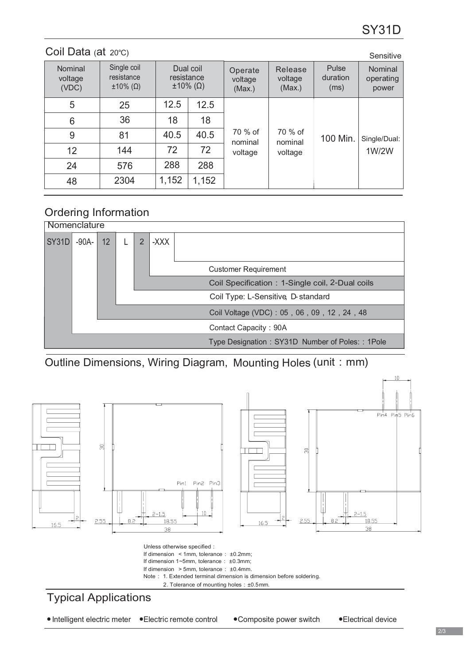### 100 Min. 1 W/2 W 5 6 9 12 24 48 12.5 18 40.5 72 288 1,152 25 36 81 144 576 2304 12.5 18 40.5 72 288 1,152 Nominal voltage  $(VDC)$ Single coil resistance  $\pm$ 10% (Ω)  $\pm$ 10% (Ω)  $\pm$ 10% (Ω) (Max)  $(Max.)$ voltage  $(Max.)$ Nominal operating power Dual coil resistance Pulse duration  $(ms)$ Coil Data (at 20℃) Sensitive Sensitive Sensitive Sensitive Sensitive Sensitive Sensitive 70 % of nominal voltage 70 % of nominal voltage Single/Dual: Operate Release

## Ordering Information



Outline Dimensions, Wiring Diagram, Mounting Holes (unit : mm)